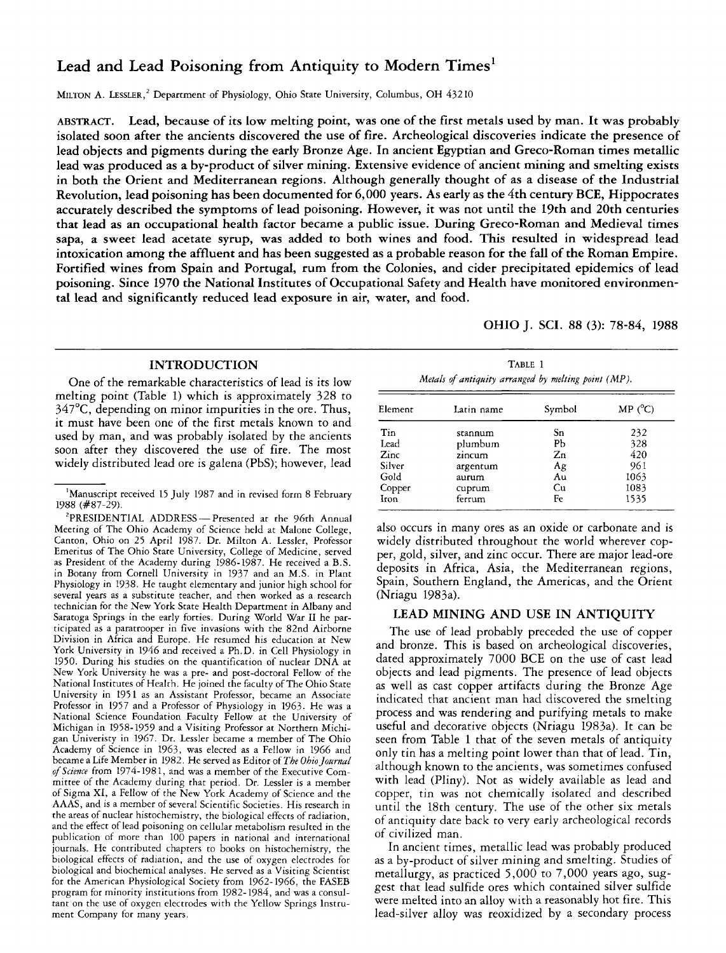# Lead and Lead Poisoning from Antiquity to Modern Times<sup>1</sup>

MILTON A. LESSLER,<sup>2</sup> Department of Physiology, Ohio State University, Columbus, OH 43210

**ABSTRACT. Lead, because of its low melting point, was one of the first metals used by man. It was probably isolated soon after the ancients discovered the use of fire. Archeological discoveries indicate the presence of lead objects and pigments during the early Bronze Age. In ancient Egyptian and Greco-Roman times metallic lead was produced as a by-product of silver mining. Extensive evidence of ancient mining and smelting exists in both the Orient and Mediterranean regions. Although generally thought of as a disease of the Industrial Revolution, lead poisoning has been documented for 6,000 years. As early as the 4th century BCE, Hippocrates accurately described the symptoms of lead poisoning. However, it was not until the 19th and 20th centuries that lead as an occupational health factor became a public issue. During Greco-Roman and Medieval times sapa, a sweet lead acetate syrup, was added to both wines and food. This resulted in widespread lead intoxication among the affluent and has been suggested as a probable reason for the fall of the Roman Empire. Fortified wines from Spain and Portugal, rum from the Colonies, and cider precipitated epidemics of lead poisoning. Since 1970 the National Institutes of Occupational Safety and Health have monitored environmental lead and significantly reduced lead exposure in air, water, and food.**

**OHIO J. SCI. 88 (3):** 78-84, **1988**

# **INTRODUCTION**

One of the remarkable characteristics of lead is its low melting point (Table 1) which is approximately 328 to  $347^{\circ}$ C, depending on minor impurities in the ore. Thus, it must have been one of the first metals known to and used by man, and was probably isolated by the ancients soon after they discovered the use of fire. The most widely distributed lead ore is galena (PbS); however, lead

<sup>2</sup>PRESIDENTIAL ADDRESS — Presented at the 96th Annual Meeting of The Ohio Academy of Science held at Malone College, Canton, Ohio on 25 April 1987. Dr. Milton A. Lessler, Professor Emeritus of The Ohio State University, College of Medicine, served as President of the Academy during 1986-1987. He received a B.S. in Botany from Cornell University in 1937 and an M.S. in Plant Physiology in 1938. He taught elementary and junior high school for several years as a substitute teacher, and then worked as a research technician for the New York State Health Department in Albany and Saratoga Springs in the early forties. During World War II he participated as a paratrooper in five invasions with the 82nd Airborne Division in Africa and Europe. He resumed his education at New York University in 1946 and received a Ph.D. in Cell Physiology in 1950. During his studies on the quantification of nuclear DNA at New York University he was a pre- and post-doctoral Fellow of the National Institutes of Health. He joined the faculty of The Ohio State University in 1951 as an Assistant Professor, became an Associate Professor in 1957 and a Professor of Physiology in 1963. He was a National Science Foundation Faculty Fellow at the University of Michigan in 1958-1959 and a Visiting Professor at Northern Michigan Univeristy in 1967. Dr. Lessler became a member of The Ohio Academy of Science in 1963, was elected as a Fellow in 1966 and became a Life Member in 1982. He served as Editor of *The Ohio Journal of Science* from 1974-1981, and was a member of the Executive Committee of the Academy during that period. Dr. Lessler is a member of Sigma XI, a Fellow of the New York Academy of Science and the AAAS, and is a member of several Scientific Societies. His research in the areas of nuclear histochemistry, the biological effects of radiation, the areas of nuclear mistochemistry, the biological effects of facilition, and the enect of read poisoning on centuar metapolism resulted in the publication of more than 100 papers in national and international journals. He contributed chapters to books on histochemistry, the journals. He contributed chapters to books on histochemistry, the biological effects of faquation, and the use of oxygen electrodes for biological and biochemical analyses. He served as a Visiting Scientist for the American Physiological Society from 1962-1966, the FASEB program for minority institutions from 1982-1984, and was a consultant on the use of oxygen electrodes with the Yellow Springs Instrument Company for many years.

TABLE 1 *Metals of antiquity arranged by melting point (MP).*

| Element  | Latin name | Symbol | MP (°C) |
|----------|------------|--------|---------|
| $T_{10}$ | stannum    | Sn     | 232     |
| Lead     | plumbum    | Pb     | 328     |
| Zinc     | zincum     | Zn     | 420     |
| Silver   | argentum   | Ag     | 961     |
| Gold     | aurum      | Au     | 1063    |
| Copper   | cuprum     | Cu     | 1083    |
| Iron     | ferrum     | Fe     | 1535    |

also occurs in many ores as an oxide or carbonate and is widely distributed throughout the world wherever copper, gold, silver, and zinc occur. There are major lead-ore deposits in Africa, Asia, the Mediterranean regions, Spain, Southern England, the Americas, and the Orient (Nriagu 1983a).

# **LEAD MINING AND USE IN ANTIQUITY**

The use of lead probably preceded the use of copper and bronze. This is based on archeological discoveries, dated approximately 7000 BCE on the use of cast lead objects and lead pigments. The presence of lead objects as well as cast copper artifacts during the Bronze Age indicated that ancient man had discovered the smelting process and was rendering and purifying metals to make useful and decorative objects (Nriagu 1983a). It can be seen from Table 1 that of the seven metals of antiquity only tin has a melting point lower than that of lead. Tin, although known to the ancients, was sometimes confused with lead (Pliny). Not as widely available as lead and copper, tin was not chemically isolated and described until the 18th century. The use of the other six metals of antiquity date back to very early archeological records of civilized man.

In ancient times, metallic lead was probably produced as a by-product of silver mining and smelting. Studies of metallurgy, as practiced 5,000 to 7,000 years ago, suggest that lead sulfide ores which contained silver sulfide were melted into an alloy with a reasonably hot fire. This lead-silver alloy was reoxidized by a secondary process

<sup>&#</sup>x27;Manuscript received 15 July 1987 and in revised form 8 February 1988 (#87-29).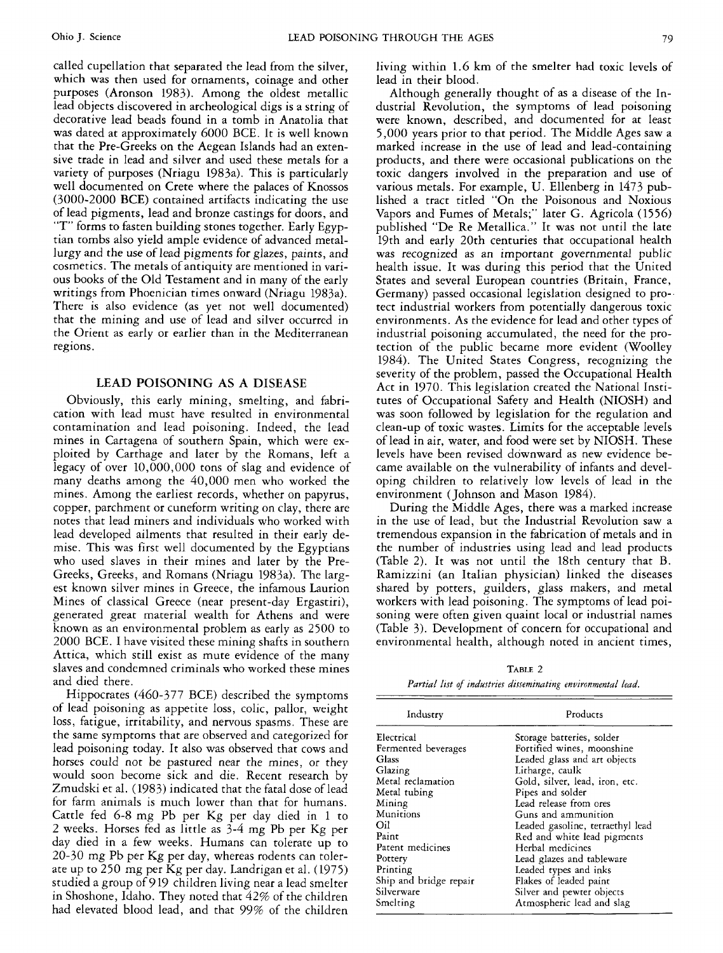called cupellation that separated the lead from the silver, which was then used for ornaments, coinage and other purposes (Aronson 1983). Among the oldest metallic lead objects discovered in archeological digs is a string of decorative lead beads found in a tomb in Anatolia that was dated at approximately 6000 BCE. It is well known that the Pre-Greeks on the Aegean Islands had an extensive trade in lead and silver and used these metals for a variety of purposes (Nriagu 1983a). This is particularly well documented on Crete where the palaces of Knossos (3000-2000 BCE) contained artifacts indicating the use of lead pigments, lead and bronze castings for doors, and "T" forms to fasten building stones together. Early Egyptian tombs also yield ample evidence of advanced metallurgy and the use of lead pigments for glazes, paints, and cosmetics. The metals of antiquity are mentioned in various books of the Old Testament and in many of the early writings from Phoenician times onward (Nriagu 1983a). There is also evidence (as yet not well documented) that the mining and use of lead and silver occurred in the Orient as early or earlier than in the Mediterranean regions.

## **LEAD POISONING AS A DISEASE**

Obviously, this early mining, smelting, and fabrication with lead must have resulted in environmental contamination and lead poisoning. Indeed, the lead mines in Cartagena of southern Spain, which were exploited by Carthage and later by the Romans, left a legacy of over 10,000,000 tons of slag and evidence of many deaths among the 40,000 men who worked the mines. Among the earliest records, whether on papyrus, copper, parchment or cuneform writing on clay, there are notes that lead miners and individuals who worked with lead developed ailments that resulted in their early demise. This was first well documented by the Egyptians who used slaves in their mines and later by the Pre-Greeks, Greeks, and Romans (Nriagu 1983a). The largest known silver mines in Greece, the infamous Laurion Mines of classical Greece (near present-day Ergastiri), generated great material wealth for Athens and were known as an environmental problem as early as 2500 to 2000 BCE. I have visited these mining shafts in southern Attica, which still exist as mute evidence of the many slaves and condemned criminals who worked these mines and died there.

Hippocrates (460-377 BCE) described the symptoms of lead poisoning as appetite loss, colic, pallor, weight loss, fatigue, irritability, and nervous spasms. These are the same symptoms that are observed and categorized for lead poisoning today. It also was observed that cows and horses could not be pastured near the mines, or they would soon become sick and die. Recent research by Zmudski et al. (1983) indicated that the fatal dose of lead for farm animals is much lower than that for humans. Cattle fed 6-8 mg Pb per Kg per day died in 1 to 2 weeks. Horses fed as little as 3-4 mg Pb per Kg per day died in a few weeks. Humans can tolerate up to 20-30 mg Pb per Kg per day, whereas rodents can tolerate up to 250 mg per Kg per day. Landrigan et al. (1975) studied a group of 919 children living near a lead smelter in Shoshone, Idaho. They noted that 42% of the children had elevated blood lead, and that 99% of the children living within 1.6 km of the smelter had toxic levels of lead in their blood.

Although generally thought of as a disease of the Industrial Revolution, the symptoms of lead poisoning were known, described, and documented for at least 5,000 years prior to that period. The Middle Ages saw a marked increase in the use of lead and lead-containing products, and there were occasional publications on the toxic dangers involved in the preparation and use of various metals. For example, U. Ellenberg in 1473 published a tract titled "On the Poisonous and Noxious Vapors and Fumes of Metals;" later G. Agricola (1556) published "De Re Metallica." It was not until the late 19th and early 20th centuries that occupational health was recognized as an important governmental public health issue. It was during this period that the United States and several European countries (Britain, France, Germany) passed occasional legislation designed to protect industrial workers from potentially dangerous toxic environments. As the evidence for lead and other types of industrial poisoning accumulated, the need for the protection of the public became more evident (Woolley 1984). The United States Congress, recognizing the severity of the problem, passed the Occupational Health Act in 1970. This legislation created the National Institutes of Occupational Safety and Health (NIOSH) and was soon followed by legislation for the regulation and clean-up of toxic wastes. Limits for the acceptable levels of lead in air, water, and food were set by NIOSH. These levels have been revised downward as new evidence became available on the vulnerability of infants and developing children to relatively low levels of lead in the environment (Johnson and Mason 1984).

During the Middle Ages, there was a marked increase in the use of lead, but the Industrial Revolution saw a tremendous expansion in the fabrication of metals and in the number of industries using lead and lead products (Table 2). It was not until the 18th century that B. Ramizzini (an Italian physician) linked the diseases shared by potters, guilders, glass makers, and metal workers with lead poisoning. The symptoms of lead poisoning were often given quaint local or industrial names (Table 3). Development of concern for occupational and environmental health, although noted in ancient times,

TABLE 2 *Partial list of industries disseminating environmental lead.*

| Industry               | Products                         |  |  |
|------------------------|----------------------------------|--|--|
| Electrical             | Storage batteries, solder        |  |  |
| Fermented beverages    | Fortified wines, moonshine       |  |  |
| Glass                  | Leaded glass and art objects     |  |  |
| Glazing                | Litharge, caulk                  |  |  |
| Metal reclamation      | Gold, silver, lead, iron, etc.   |  |  |
| Metal tubing           | Pipes and solder                 |  |  |
| Mining                 | Lead release from ores           |  |  |
| Munitions              | Guns and ammunition              |  |  |
| Oil                    | Leaded gasoline, tetraethyl lead |  |  |
| Paint                  | Red and white lead pigments      |  |  |
| Patent medicines       | Herbal medicines                 |  |  |
| Pottery                | Lead glazes and tableware        |  |  |
| Printing               | Leaded types and inks            |  |  |
| Ship and bridge repair | Flakes of leaded paint           |  |  |
| Silverware             | Silver and pewter objects        |  |  |
| Smelting               | Atmospheric lead and slag        |  |  |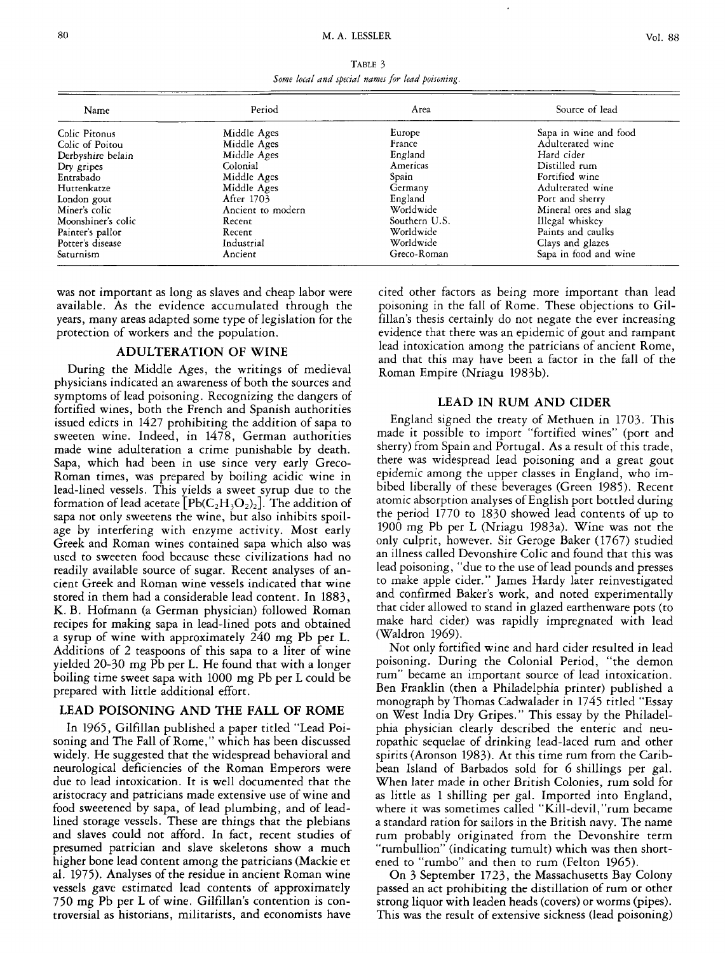TABLE 3 *Some local and special names for lead poisoning.*

| Name               | Period            | Area          | Source of lead        |
|--------------------|-------------------|---------------|-----------------------|
| Colic Pitonus      | Middle Ages       | Europe        | Sapa in wine and food |
| Colic of Poitou    | Middle Ages       | France        | Adulterated wine      |
| Derbyshire belain  | Middle Ages       | England       | Hard cider            |
| Dry gripes         | Colonial          | Americas      | Distilled rum         |
| Entrabado          | Middle Ages       | Spain         | Fortified wine        |
| Huttenkatze        | Middle Ages       | Germany       | Adulterated wine      |
| London gout        | After 1703        | England       | Port and sherry       |
| Miner's colic      | Ancient to modern | Worldwide     | Mineral ores and slag |
| Moonshiner's colic | Recent            | Southern U.S. | Illegal whiskey       |
| Painter's pallor   | Recent            | Worldwide     | Paints and caulks     |
| Potter's disease   | Industrial        | Worldwide     | Clays and glazes      |
| Saturnism          | Ancient           | Greco-Roman   | Sapa in food and wine |

was not important as long as slaves and cheap labor were available. As the evidence accumulated through the years, many areas adapted some type of legislation for the protection of workers and the population.

#### **ADULTERATION OF WINE**

During the Middle Ages, the writings of medieval physicians indicated an awareness of both the sources and symptoms of lead poisoning. Recognizing the dangers of fortified wines, both the French and Spanish authorities issued edicts in 1427 prohibiting the addition of sapa to sweeten wine. Indeed, in 1478, German authorities made wine adulteration a crime punishable by death. Sapa, which had been in use since very early Greco-Roman times, was prepared by boiling acidic wine in lead-lined vessels. This yields a sweet syrup due to the formation of lead acetate  $[Pb(C_2H_3O_2)_2]$ . The addition of sapa not only sweetens the wine, but also inhibits spoilage by interfering with enzyme activity. Most early Greek and Roman wines contained sapa which also was used to sweeten food because these civilizations had no readily available source of sugar. Recent analyses of ancient Greek and Roman wine vessels indicated that wine stored in them had a considerable lead content. In 1883, K. B. Hofmann (a German physician) followed Roman recipes for making sapa in lead-lined pots and obtained a syrup of wine with approximately 240 mg Pb per L. Additions of 2 teaspoons of this sapa to a liter of wine yielded 20-30 mg Pb per L. He found that with a longer boiling time sweet sapa with 1000 mg Pb per L could be prepared with little additional effort.

#### **LEAD POISONING AND THE FALL OF ROME**

In 1965, Gilfillan published a paper titled "Lead Poisoning and The Fall of Rome," which has been discussed widely. He suggested that the widespread behavioral and neurological deficiencies of the Roman Emperors were due to lead intoxication. It is well documented that the aristocracy and patricians made extensive use of wine and food sweetened by sapa, of lead plumbing, and of leadlined storage vessels. These are things that the plebians and slaves could not afford. In fact, recent studies of presumed patrician and slave skeletons show a much higher bone lead content among the patricians (Mackie et al. 1975). Analyses of the residue in ancient Roman wine vessels gave estimated lead contents of approximately 750 mg Pb per L of wine. Gilfillan's contention is controversial as historians, militarists, and economists have

cited other factors as being more important than lead poisoning in the fall of Rome. These objections to Gilfillan's thesis certainly do not negate the ever increasing evidence that there was an epidemic of gout and rampant lead intoxication among the patricians of ancient Rome, and that this may have been a factor in the fall of the Roman Empire (Nriagu 1983b).

#### **LEAD IN RUM AND CIDER**

England signed the treaty of Methuen in 1703. This made it possible to import "fortified wines" (port and sherry) from Spain and Portugal. As a result of this trade, there was widespread lead poisoning and a great gout epidemic among the upper classes in England, who imbibed liberally of these beverages (Green 1985). Recent atomic absorption analyses of English port bottled during the period 1770 to 1830 showed lead contents of up to 1900 mg Pb per L (Nriagu 1983a). Wine was not the only culprit, however. Sir Geroge Baker (1767) studied an illness called Devonshire Colic and found that this was lead poisoning, "due to the use of lead pounds and presses to make apple cider." James Hardy later reinvestigated and confirmed Baker's work, and noted experimentally that cider allowed to stand in glazed earthenware pots (to make hard cider) was rapidly impregnated with lead (Waldron 1969).

Not only fortified wine and hard cider resulted in lead poisoning. During the Colonial Period, "the demon rum" became an important source of lead intoxication. Ben Franklin (then a Philadelphia printer) published a monograph by Thomas Cadwalader in 1745 titled "Essay on West India Dry Gripes." This essay by the Philadelphia physician clearly described the enteric and neuropathic sequelae of drinking lead-laced rum and other spirits (Aronson 1983). At this time rum from the Caribbean Island of Barbados sold for 6 shillings per gal. When later made in other British Colonies, rum sold for as little as 1 shilling per gal. Imported into England, where it was sometimes called "Kill-devil,"rum became a standard ration for sailors in the British navy. The name rum probably originated from the Devonshire term "rumbullion" (indicating tumult) which was then shortened to "rumbo" and then to rum (Felton 1965).

On 3 September 1723, the Massachusetts Bay Colony passed an act prohibiting the distillation of rum or other strong liquor with leaden heads (covers) or worms (pipes). This was the result of extensive sickness (lead poisoning)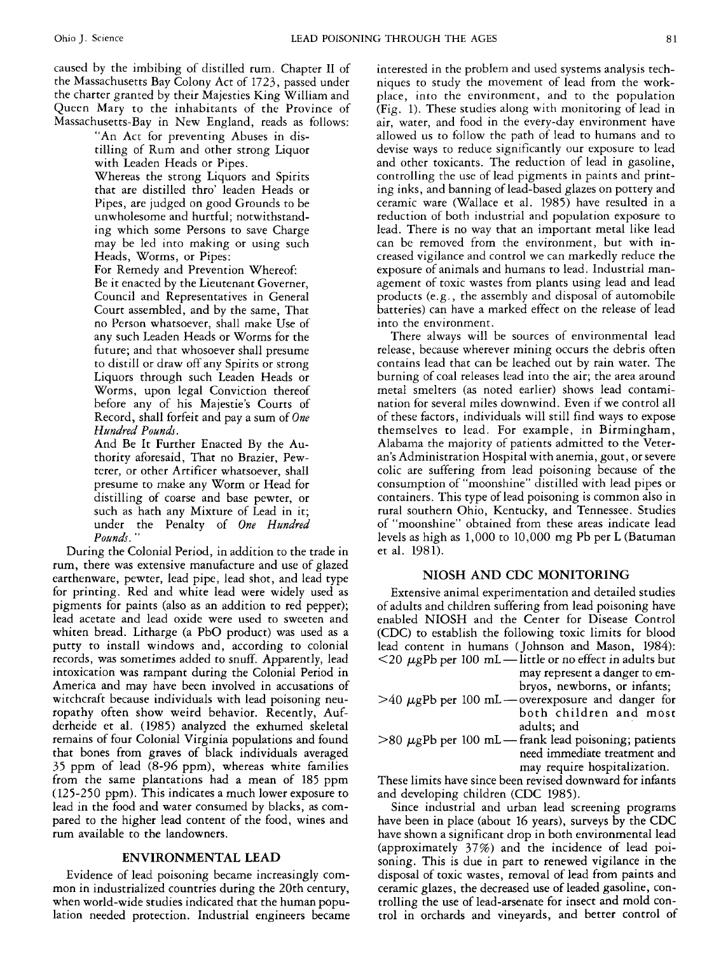caused by the imbibing of distilled rum. Chapter II of the Massachusetts Bay Colony Act of 1723, passed under the charter granted by their Majesties King William and Queen Mary to the inhabitants of the Province of Massachusetts-Bay in New England, reads as follows:

"An Act for preventing Abuses in distilling of Rum and other strong Liquor with Leaden Heads or Pipes.

Whereas the strong Liquors and Spirits that are distilled thro' leaden Heads or Pipes, are judged on good Grounds to be unwholesome and hurtful; notwithstanding which some Persons to save Charge may be led into making or using such Heads, Worms, or Pipes:

For Remedy and Prevention Whereof: Be it enacted by the Lieutenant Governer, Council and Representatives in General Court assembled, and by the same, That no Person whatsoever, shall make Use of any such Leaden Heads or Worms for the future; and that whosoever shall presume to distill or draw off any Spirits or strong Liquors through such Leaden Heads or Worms, upon legal Conviction thereof before any of his Majestie's Courts of Record, shall forfeit and pay a sum *of One Hundred Pounds.*

And Be It Further Enacted By the Authority aforesaid, That no Brazier, Pewterer, or other Artificer whatsoever, shall presume to make any Worm or Head for distilling of coarse and base pewter, or such as hath any Mixture of Lead in it; under the Penalty of *One Hundred Pounds.* "

During the Colonial Period, in addition to the trade in rum, there was extensive manufacture and use of glazed earthenware, pewter, lead pipe, lead shot, and lead type for printing. Red and white lead were widely used as pigments for paints (also as an addition to red pepper); lead acetate and lead oxide were used to sweeten and whiten bread. Litharge (a PbO product) was used as a putty to install windows and, according to colonial records, was sometimes added to snuff. Apparently, lead intoxication was rampant during the Colonial Period in America and may have been involved in accusations of witchcraft because individuals with lead poisoning neuropathy often show weird behavior. Recently, Aufderheide et al. (1985) analyzed the exhumed skeletal remains of four Colonial Virginia populations and found that bones from graves of black individuals averaged 35 ppm of lead (8-96 ppm), whereas white families from the same plantations had a mean of 185 ppm (125-250 ppm). This indicates a much lower exposure to lead in the food and water consumed by blacks, as compared to the higher lead content of the food, wines and rum available to the landowners.

# **ENVIRONMENTAL LEAD**

Evidence of lead poisoning became increasingly common in industrialized countries during the 20th century, when world-wide studies indicated that the human population needed protection. Industrial engineers became

interested in the problem and used systems analysis techniques to study the movement of lead from the workplace, into the environment, and to the population (Fig. 1). These studies along with monitoring of lead in air, water, and food in the every-day environment have allowed us to follow the path of lead to humans and to devise ways to reduce significantly our exposure to lead and other toxicants. The reduction of lead in gasoline, controlling the use of lead pigments in paints and printing inks, and banning of lead-based glazes on pottery and ceramic ware (Wallace et al. 1985) have resulted in a reduction of both industrial and population exposure to lead. There is no way that an important metal like lead can be removed from the environment, but with increased vigilance and control we can markedly reduce the exposure of animals and humans to lead. Industrial management of toxic wastes from plants using lead and lead products (e.g., the assembly and disposal of automobile batteries) can have a marked effect on the release of lead into the environment.

There always will be sources of environmental lead release, because wherever mining occurs the debris often contains lead that can be leached out by rain water. The burning of coal releases lead into the air; the area around metal smelters (as noted earlier) shows lead contamination for several miles downwind. Even if we control all of these factors, individuals will still find ways to expose themselves to lead. For example, in Birmingham, Alabama the majority of patients admitted to the Veteran's Administration Hospital with anemia, gout, or severe colic are suffering from lead poisoning because of the consumption of "moonshine" distilled with lead pipes or containers. This type of lead poisoning is common also in rural southern Ohio, Kentucky, and Tennessee. Studies of "moonshine" obtained from these areas indicate lead levels as high as 1,000 to 10,000 mg Pb per L (Batuman et al. 1981).

# **NIOSH AND CDC MONITORING**

Extensive animal experimentation and detailed studies of adults and children suffering from lead poisoning have enabled NIOSH and the Center for Disease Control (CDC) to establish the following toxic limits for blood lead content in humans (Johnson and Mason, 1984):  $<$ 20  $\mu$ gPb per 100 mL — little or no effect in adults but may represent a danger to embryos, newborns, or infants;  $>40 \mu$ gPb per 100 mL — overexposure and danger for both children and most adults; and  $>80 \mu$ gPb per 100 mL — frank lead poisoning; patients need immediate treatment and may require hospitalization. These limits have since been revised downward for infants

and developing children (CDC 1985).

Since industrial and urban lead screening programs have been in place (about 16 years), surveys by the CDC have shown a significant drop in both environmental lead (approximately 37%) and the incidence of lead poisoning. This is due in part to renewed vigilance in the disposal of toxic wastes, removal of lead from paints and ceramic glazes, the decreased use of leaded gasoline, controlling the use of lead-arsenate for insect and mold control in orchards and vineyards, and better control of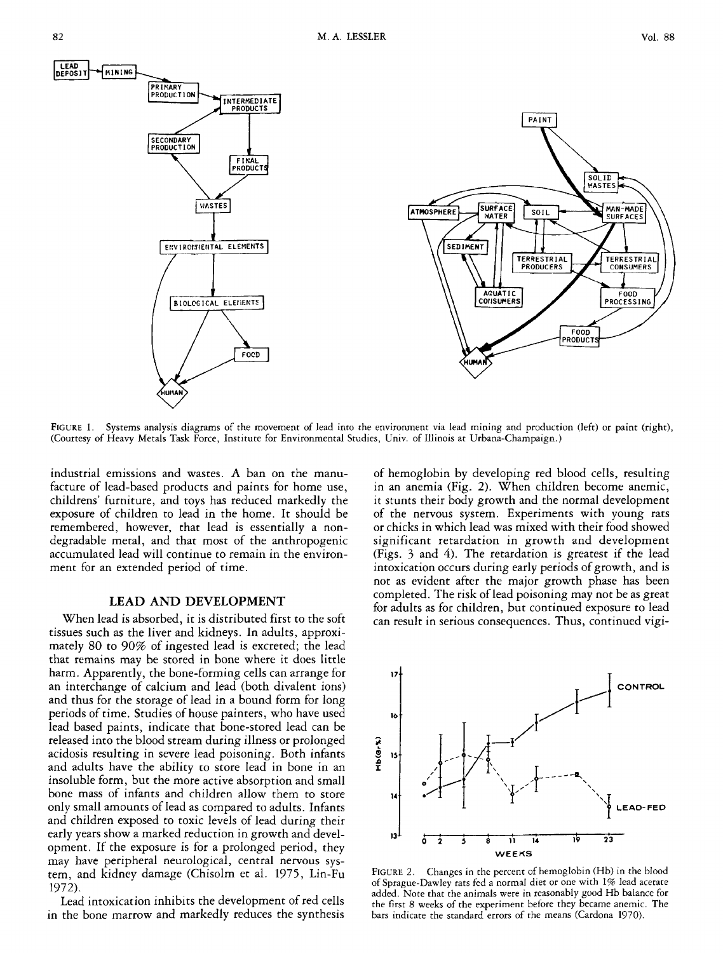

FIGURE 1. Systems analysis diagrams of the movement of lead into the environment via lead mining and production (left) or paint (right), (Courtesy of Heavy Metals Task Force, Institute for Environmental Studies, Univ. of Illinois at Urbana-Champaign.)

industrial emissions and wastes. A ban on the manufacture of lead-based products and paints for home use, childrens' furniture, and toys has reduced markedly the exposure of children to lead in the home. It should be remembered, however, that lead is essentially a nondegradable metal, and that most of the anthropogenic accumulated lead will continue to remain in the environment for an extended period of time.

## **LEAD AND DEVELOPMENT**

When lead is absorbed, it is distributed first to the soft tissues such as the liver and kidneys. In adults, approximately 80 to 90% of ingested lead is excreted; the lead that remains may be stored in bone where it does little harm. Apparently, the bone-forming cells can arrange for an interchange of calcium and lead (both divalent ions) and thus for the storage of lead in a bound form for long periods of time. Studies of house painters, who have used lead based paints, indicate that bone-stored lead can be released into the blood stream during illness or prolonged acidosis resulting in severe lead poisoning. Both infants and adults have the ability to store lead in bone in an insoluble form, but the more active absorption and small bone mass of infants and children allow them to store only small amounts of lead as compared to adults. Infants and children exposed to toxic levels of lead during their early years show a marked reduction in growth and development. If the exposure is for a prolonged period, they may have peripheral neurological, central nervous system, and kidney damage (Chisolm et al. 1975, Lin-Fu 1972).

Lead intoxication inhibits the development of red cells in the bone marrow and markedly reduces the synthesis

of hemoglobin by developing red blood cells, resulting in an anemia (Fig. 2). When children become anemic, it stunts their body growth and the normal development of the nervous system. Experiments with young rats or chicks in which lead was mixed with their food showed significant retardation in growth and development (Figs. 3 and 4). The retardation is greatest if the lead intoxication occurs during early periods of growth, and is not as evident after the major growth phase has been completed. The risk of lead poisoning may not be as great for adults as for children, but continued exposure to lead can result in serious consequences. Thus, continued vigi-



FIGURE 2. Changes in the percent of hemoglobin (Hb) in the blood of Sprague-Dawley rats fed a normal diet or one with 1% lead acetate added. Note that the animals were in reasonably good Hb balance for the first 8 weeks of the experiment before they became anemic. The bars indicate the standard errors of the means (Cardona 1970).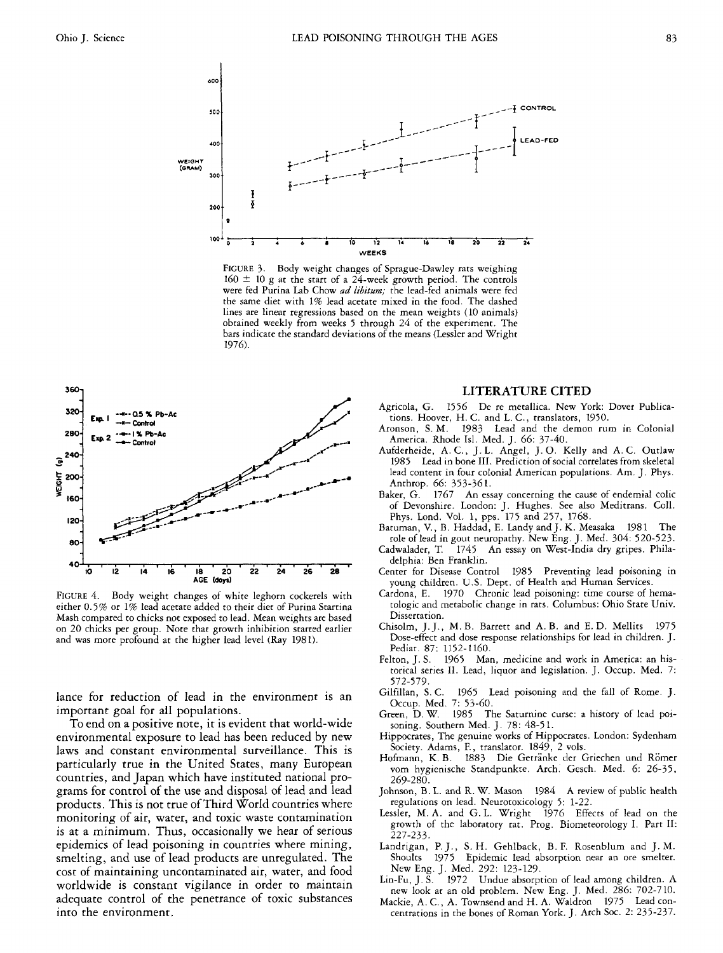

FIGURE 3. Body weight changes of Sprague-Dawley rats weighing  $160 \pm 10$  g at the start of a 24-week growth period. The controls were fed Purina Lab Chow *ad libitum;* the lead-fed animals were fed the same diet with 1% lead acetate mixed in the food. The dashed lines are linear regressions based on the mean weights (10 animals) obtained weekly from weeks 5 through 24 of the experiment. The bars indicate the standard deviations of the means (Lessler and Wright 1976).



FIGURE 4. Body weight changes of white leghorn cockerels with either 0.5% or 1% lead acetate added to their diet of Purina Startina Mash compared to chicks not exposed to lead. Mean weights are based on 20 chicks per group. Note that growth inhibition started earlier and was more profound at the higher lead level (Ray 1981).

lance for reduction of lead in the environment is an important goal for all populations.

To end on a positive note, it is evident that world-wide environmental exposure to lead has been reduced by new laws and constant environmental surveillance. This is particularly true in the United States, many European countries, and Japan which have instituted national programs for control of the use and disposal of lead and lead products. This is not true of Third World countries where monitoring of air, water, and toxic waste contamination is at a minimum. Thus, occasionally we hear of serious epidemics of lead poisoning in countries where mining, smelting, and use of lead products are unregulated. The cost of maintaining uncontaminated air, water, and food worldwide is constant vigilance in order to maintain adequate control of the penetrance of toxic substances into the environment.

### LITERATURE CITED

- Agricola, G. 1556 De re metallica. New York: Dover Publications. Hoover, H. C. and L. C, translators, 1950.
- Aronson, S. M. 1983 Lead and the demon rum in Colonial America. Rhode Isl. Med. J. 66: 37-40.
- Aufderheide, A. C, J.L. Angel, J. O. Kelly and A. C. Outlaw 1985 Lead in bone III. Prediction of social correlates from skeletal lead content in four colonial American populations. Am. J. Phys. Anthrop. *66:* 353-361.
- Baker, G. 1767 An essay concerning the cause of endemial colic of Devonshire. London: J. Hughes. See also Meditrans. Coll. Phys. Lond. Vol. 1, pps. 175 and 257, 1768.
- Batuman, V., B. Haddad, E. Landy and J. K. Measaka 1981 The role of lead in gout neuropathy. New Eng. J. Med. 304: 520-523.
- Cadwalader, T. 1745 An essay on West-India dry gripes. Philadelphia: Ben Franklin.
- Center for Disease Control 1985 Preventing lead poisoning in young children. U.S. Dept. of Health and Human Services.
- Cardona, E. 1970 Chronic lead poisoning: time course of hematologic and metabolic change in rats. Columbus: Ohio State Univ. Dissertation.
- Chisolm, J.J., M.B. Barrett and A. B. and E. D. Mellits 1975 Dose-effect and dose response relationships for lead in children. J. Pediat. 87: 1152-1160.
- Felton, J. S. 1965 Man, medicine and work in America: an historical series II. Lead, liquor and legislation. J. Occup. Med. 7:
- 572-579.<br>Gilfillan, S. C. 1965 Lead poisoning and the fall of Rome. J. Occup. Med. 7: 53-60.
- Green, D. W. 1985 The Saturnine curse: a history of lead poisoning. Southern Med. J. 78: 48-51.
- Hippocrates, The genuine works of Hippocrates. London: Sydenham Society. Adams, F., translator. 1849, 2 vols.
- Hofmann, K. B. 1883 Die Getränke der Griechen und Römer vom hygienische Standpunkte. Arch. Gesch. Med. 6: 26-35, 269-280.
- Johnson, B. L. and R. W. Mason 1984 A review of public health regulations on lead. Neurotoxicology 5: 1-22.
- Lessler, M. A. and G. L. Wright 1976 Effects of lead on the growth of the laboratory rat. Prog. Biometeorology I. Part II: 227-233.
- Landrigan, P. J., S. H. Gehlback, B. F. Rosenblum and J. M. Shoults 1975 Epidemic lead absorption near an ore smelter. New Eng. J. Med. 292: 123-129-
- Lin-Fu, J. S. 1972 Undue absorption of lead among children. A new look at an old problem. New Eng. J. Med. 286: 702-710.
- Mackie, A. C., A. Townsend and H. A. Waldron 1975 Lead concentrations in the bones of Roman York. J. Arch Soc. 2: 235-237.